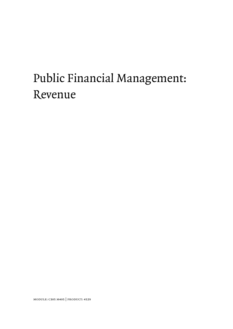# Public Financial Management: Revenue

module: c305 m405 | product: 4529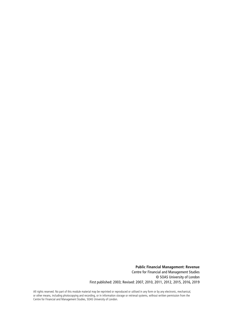**Public Financial Management: Revenue**  Centre for Financial and Management Studies © SOAS University of London First published: 2003; Revised: 2007, 2010, 2011, 2012, 2015, 2016, 2019

All rights reserved. No part of this module material may be reprinted or reproduced or utilised in any form or by any electronic, mechanical, or other means, including photocopying and recording, or in information storage or retrieval systems, without written permission from the Centre for Financial and Management Studies, SOAS University of London.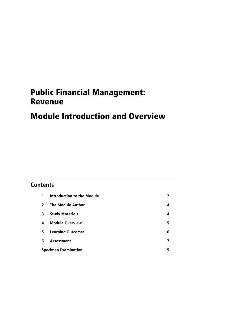## Public Financial Management: Revenue

## Module Introduction and Overview

## **Contents**

| 1            | <b>Introduction to the Module</b> |   |
|--------------|-----------------------------------|---|
| $\mathbf{z}$ | <b>The Module Author</b>          | 4 |
| 3            | <b>Study Materials</b>            | 4 |
| 4            | <b>Module Overview</b>            | 5 |
| 5            | <b>Learning Outcomes</b>          | 6 |
| 6            | <b>Assessment</b>                 | 7 |
|              | <b>Specimen Examination</b>       |   |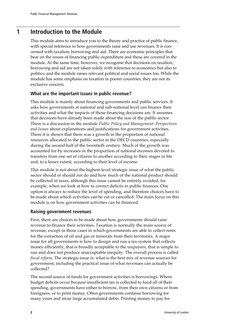## **1 Introduction to the Module**

This module aims to introduce you to the theory and practice of public finance, with special reference to how governments raise and use revenues. It is concerned with taxation, borrowing and aid. There are economic principles that bear on the issues of financing public expenditure and these are covered in the module. At the same time, however, we recognise that decisions on taxation, borrowing and aid are not taken solely with reference to economics but also to politics, and the module raises relevant political and social issues too. While the module has some emphasis on taxation in poorer countries, they are not its exclusive concern.

### **What are the important issues in public revenue?**

This module is mainly about financing governments and public services. It asks how governments at national and sub-national level can finance their activities and what the impacts of those financing decisions are. It assumes that decisions have already been made about the size of the public sector. There is a discussion in the module *Public Policy and Management: Perspectives and Issues* about explanations and justifications for government activities. There it is shown that there was a growth in the proportion of national resources allocated to the public sector in the OECD countries, especially during the second half of the twentieth century. Much of the growth was accounted for by increases in the proportion of national incomes devoted to transfers from one set of citizens to another according to their stages in life and, to a lesser extent, according to their level of income.

This module is not about the highest-level strategic issue of what the public sector should or should not do and how much of the national product should be collected in taxes, although this issue cannot be entirely avoided, for example, when we look at how to correct deficits in public finances. One option is always to reduce the level of spending, and therefore choices have to be made about which activities can be cut or cancelled. The main focus on this module is on how government activities can be financed.

### **Raising government revenues**

First, there are choices to be made about how governments should raise revenue to finance their activities. Taxation is normally the main source of revenue, except in those cases in which governments are able to collect rents for the extraction of oil and gas or minerals from their territories. A major issue for all governments is how to design and run a tax system that collects money efficiently, that is broadly acceptable to the taxpayers, that is simple to run and does not produce unacceptable inequity. The overall process is called *fiscal reform*. The strategic issue is: what is the best mix of revenue sources for government, including the practical issue of what revenues can actually be collected?

The second source of funds for government activities is borrowings. Where budget deficits occur because insufficient tax is collected to fund all of their spending, governments have either to borrow, from their own citizens or from foreigners, or to print money. Often governments continue borrowing for many years and incur large accumulated debts. Printing money to pay for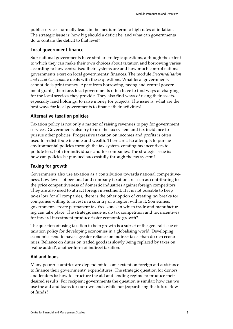public services normally leads in the medium term to high rates of inflation. The strategic issue is: how big should a deficit be, and what can governments do to contain the deficit to that level?

### **Local government finance**

Sub-national governments have similar strategic questions, although the extent to which they can make their own choices about taxation and borrowing varies according to how centralised their systems are and how much control national governments exert on local governments' finances. The module *Decentralisation and Local Governance* deals with these questions. What local governments cannot do is print money. Apart from borrowing, taxing and central government grants, therefore, local governments often have to find ways of charging for the local services they provide. They also find ways of using their assets, especially land holdings, to raise money for projects. The issue is: what are the best ways for local governments to finance their activities?

### **Alternative taxation policies**

Taxation policy is not only a matter of raising revenues to pay for government services. Governments also try to use the tax system and tax incidence to pursue other policies. Progressive taxation on incomes and profits is often used to redistribute income and wealth. There are also attempts to pursue environmental policies through the tax system, creating tax incentives to pollute less, both for individuals and for companies. The strategic issue is: how can policies be pursued successfully through the tax system?

### **Taxing for growth**

Governments also use taxation as a contribution towards national competitiveness. Low levels of personal and company taxation are seen as contributing to the price competitiveness of domestic industries against foreign competitors. They are also used to attract foreign investment. If it is not possible to keep taxes low for all companies, there is the other option of creating tax breaks for companies willing to invest in a country or a region within it. Sometimes, governments create permanent tax-free zones in which trade and manufacturing can take place. The strategic issue is: do tax competition and tax incentives for inward investment produce faster economic growth?

The question of using taxation to help growth is a subset of the general issue of taxation policy for developing economies in a globalising world. Developing economies tend to have a greater reliance on indirect taxes than do rich economies. Reliance on duties on traded goods is slowly being replaced by taxes on 'value added', another form of indirect taxation.

### **Aid and loans**

Many poorer countries are dependent to some extent on foreign aid assistance to finance their governments' expenditures. The strategic question for donors and lenders is: how to structure the aid and lending regime to produce their desired results. For recipient governments the question is similar: how can we use the aid and loans for our own ends while not jeopardising the future flow of funds?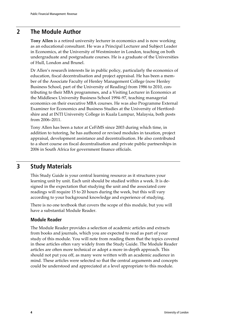### **2 The Module Author**

**Tony Allen** is a retired university lecturer in economics and is now working as an educational consultant. He was a Principal Lecturer and Subject Leader in Economics, at the University of Westminster in London, teaching on both undergraduate and postgraduate courses. He is a graduate of the Universities of Hull, London and Brunel.

Dr Allen's research interests lie in public policy, particularly the economics of education, fiscal decentralisation and project appraisal. He has been a member of the Associate Faculty of Henley Management College (now Henley Business School, part of the University of Reading) from 1986 to 2010, contributing to their MBA programmes, and a Visiting Lecturer in Economics at the Middlesex University Business School 1994–97, teaching managerial economics on their executive MBA courses. He was also Programme External Examiner for Economics and Business Studies at the University of Hertfordshire and at INTI University College in Kuala Lumpur, Malaysia, both posts from 2006–2011.

Tony Allen has been a tutor at CeFiMS since 2003 during which time, in addition to tutoring, he has authored or revised modules in taxation, project appraisal, development assistance and decentralisation. He also contributed to a short course on fiscal decentralisation and private public partnerships in 2006 in South Africa for government finance officials.

## **3 Study Materials**

This Study Guide is your central learning resource as it structures your learning unit by unit. Each unit should be studied within a week. It is designed in the expectation that studying the unit and the associated core readings will require 15 to 20 hours during the week, but this will vary according to your background knowledge and experience of studying.

There is no one textbook that covers the scope of this module, but you will have a substantial Module Reader.

### **Module Reader**

The Module Reader provides a selection of academic articles and extracts from books and journals, which you are expected to read as part of your study of this module. You will note from reading them that the topics covered in these articles often vary widely from the Study Guide. The Module Reader articles are often more technical or adopt a more in-depth approach. This should not put you off, as many were written with an academic audience in mind. These articles were selected so that the central arguments and concepts could be understood and appreciated at a level appropriate to this module.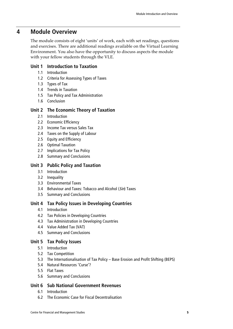### **4 Module Overview**

The module consists of eight 'units' of work, each with set readings, questions and exercises. There are additional readings available on the Virtual Learning Environment. You also have the opportunity to discuss aspects the module with your fellow students through the VLE.

### **Unit 1 Introduction to Taxation**

- 1.1 Introduction
- 1.2 Criteria for Assessing Types of Taxes
- 1.3 Types of Tax
- 1.4 Trends in Taxation
- 1.5 Tax Policy and Tax Administration
- 1.6 Conclusion

### **Unit 2 The Economic Theory of Taxation**

- 2.1 Introduction
- 2.2 Economic Efficiency
- 2.3 Income Tax versus Sales Tax
- 2.4 Taxes on the Supply of Labour
- 2.5 Equity and Efficiency
- 2.6 Optimal Taxation
- 2.7 Implications for Tax Policy
- 2.8 Summary and Conclusions

### **Unit 3 Public Policy and Taxation**

- 3.1 Introduction
- 3.2 Inequality
- 3.3 Environmental Taxes
- 3.4 Behaviour and Taxes: Tobacco and Alcohol (Sin) Taxes
- 3.5 Summary and Conclusions

### **Unit 4 Tax Policy Issues in Developing Countries**

- 4.1 Introduction
- 4.2 Tax Policies in Developing Countries
- 4.3 Tax Administration in Developing Countries
- 4.4 Value Added Tax (VAT)
- 4.5 Summary and Conclusions

### **Unit 5 Tax Policy Issues**

- 5.1 Introduction
- 5.2 Tax Competition
- 5.3 The Internationalisation of Tax Policy Base Erosion and Profit Shifting (BEPS)
- 5.4 Natural Resources 'Curse'?
- 5.5 Flat Taxes
- 5.6 Summary and Conclusions

### **Unit 6 Sub National Government Revenues**

- 6.1 Introduction
- 6.2 The Economic Case for Fiscal Decentralisation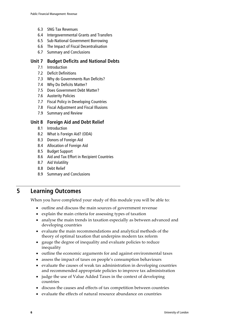- 6.3 SNG Tax Revenues
- 6.4 Intergovernmental Grants and Transfers
- 6.5 Sub-National Government Borrowing
- 6.6 The Impact of Fiscal Decentralisation
- 6.7 Summary and Conclusions

### **Unit 7 Budget Deficits and National Debts**

- 7.1 Introduction
- 7.2 Deficit Definitions
- 7.3 Why do Governments Run Deficits?
- 7.4 Why Do Deficits Matter?
- 7.5 Does Government Debt Matter?
- 7.6 Austerity Policies
- 7.7 Fiscal Policy in Developing Countries
- 7.8 Fiscal Adjustment and Fiscal Illusions
- 7.9 Summary and Review

### **Unit 8 Foreign Aid and Debt Relief**

- 8.1 Introduction
- 8.2 What is Foreign Aid? (ODA)
- 8.3 Donors of Foreign Aid
- 8.4 Allocation of Foreign Aid
- 8.5 Budget Support
- 8.6 Aid and Tax Effort in Recipient Countries
- 8.7 Aid Volatility
- 8.8 Debt Relief
- 8.9 Summary and Conclusions

## **5 Learning Outcomes**

When you have completed your study of this module you will be able to:

- outline and discuss the main sources of government revenue
- explain the main criteria for assessing types of taxation
- analyse the main trends in taxation especially as between advanced and developing countries
- evaluate the main recommendations and analytical methods of the theory of optimal taxation that underpins modern tax reform
- gauge the degree of inequality and evaluate policies to reduce inequality
- outline the economic arguments for and against environmental taxes
- assess the impact of taxes on people's consumption behaviours
- evaluate the causes of weak tax administration in developing countries and recommended appropriate policies to improve tax administration
- judge the use of Value Added Taxes in the context of developing countries
- discuss the causes and effects of tax competition between countries
- evaluate the effects of natural resource abundance on countries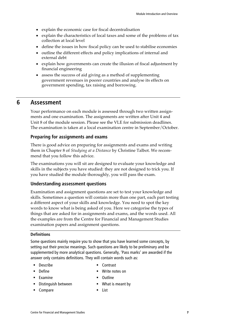- explain the economic case for fiscal decentralisation
- explain the characteristics of local taxes and some of the problems of tax collection at local level
- define the issues in how fiscal policy can be used to stabilise economies
- outline the different effects and policy implications of internal and external debt
- explain how governments can create the illusion of fiscal adjustment by financial engineering
- assess the success of aid giving as a method of supplementing government revenues in poorer countries and analyse its effects on government spending, tax raising and borrowing.

### **6 Assessment**

Your performance on each module is assessed through two written assignments and one examination. The assignments are written after Unit 4 and Unit 8 of the module session. Please see the VLE for submission deadlines. The examination is taken at a local examination centre in September/October.

#### **Preparing for assignments and exams**

There is good advice on preparing for assignments and exams and writing them in Chapter 8 of *Studying at a Distance* by Christine Talbot. We recommend that you follow this advice.

The examinations you will sit are designed to evaluate your knowledge and skills in the subjects you have studied: they are not designed to trick you. If you have studied the module thoroughly, you will pass the exam.

### **Understanding assessment questions**

Examination and assignment questions are set to test your knowledge and skills. Sometimes a question will contain more than one part, each part testing a different aspect of your skills and knowledge. You need to spot the key words to know what is being asked of you. Here we categorise the types of things that are asked for in assignments and exams, and the words used. All the examples are from the Centre for Financial and Management Studies examination papers and assignment questions.

### **Definitions**

Some questions mainly require you to show that you have learned some concepts, by setting out their precise meanings. Such questions are likely to be preliminary and be supplemented by more analytical questions. Generally, 'Pass marks' are awarded if the answer only contains definitions. They will contain words such as:

- 
- Describe Contrast
- Define Write notes on
- 
- Examine Outline
- Distinguish between What is meant by
- 
- Compare 
List
-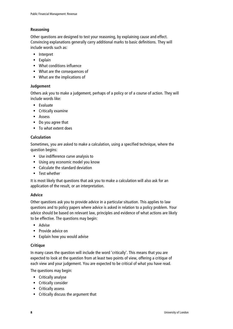### **Reasoning**

Other questions are designed to test your reasoning, by explaining cause and effect. Convincing explanations generally carry additional marks to basic definitions. They will include words such as:

- **Interpret**
- $\blacksquare$  Explain
- What conditions influence
- What are the consequences of
- What are the implications of

### **Judgement**

Others ask you to make a judgement, perhaps of a policy or of a course of action. They will include words like:

- $\blacksquare$  Evaluate
- **Critically examine**
- **Assess**
- Do you agree that
- To what extent does

### **Calculation**

Sometimes, you are asked to make a calculation, using a specified technique, where the question begins:

- Use indifference curve analysis to
- Using any economic model you know
- Calculate the standard deviation
- **Test whether**

It is most likely that questions that ask you to make a calculation will also ask for an application of the result, or an interpretation.

### **Advice**

Other questions ask you to provide advice in a particular situation. This applies to law questions and to policy papers where advice is asked in relation to a policy problem. Your advice should be based on relevant law, principles and evidence of what actions are likely to be effective. The questions may begin:

- Advise
- **Provide advice on**
- Explain how you would advise

### **Critique**

In many cases the question will include the word 'critically'. This means that you are expected to look at the question from at least two points of view, offering a critique of each view and your judgement. You are expected to be critical of what you have read.

The questions may begin:

- **Critically analyse**
- **Critically consider**
- **Critically assess**
- Critically discuss the argument that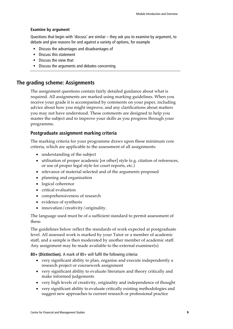#### **Examine by argument**

Questions that begin with 'discuss' are similar – they ask you to examine by argument, to debate and give reasons for and against a variety of options, for example

- Discuss the advantages and disadvantages of
- **Discuss this statement**
- **Discuss the view that**
- **Discuss the arguments and debates concerning**

### **The grading scheme: Assignments**

The assignment questions contain fairly detailed guidance about what is required. All assignments are marked using marking guidelines. When you receive your grade it is accompanied by comments on your paper, including advice about how you might improve, and any clarifications about matters you may not have understood. These comments are designed to help you master the subject and to improve your skills as you progress through your programme.

### **Postgraduate assignment marking criteria**

The marking criteria for your programme draws upon these minimum core criteria, which are applicable to the assessment of all assignments:

- understanding of the subject
- utilisation of proper academic [or other] style (e.g. citation of references, or use of proper legal style for court reports, etc.)
- relevance of material selected and of the arguments proposed
- planning and organisation
- logical coherence
- critical evaluation
- comprehensiveness of research
- evidence of synthesis
- innovation/creativity/originality.

The language used must be of a sufficient standard to permit assessment of these.

The guidelines below reflect the standards of work expected at postgraduate level. All assessed work is marked by your Tutor or a member of academic staff, and a sample is then moderated by another member of academic staff. Any assignment may be made available to the external examiner(s).

**80+ (Distinction).** A mark of 80+ will fulfil the following criteria:

- very significant ability to plan, organise and execute independently a research project or coursework assignment
- very significant ability to evaluate literature and theory critically and make informed judgements
- very high levels of creativity, originality and independence of thought
- very significant ability to evaluate critically existing methodologies and suggest new approaches to current research or professional practice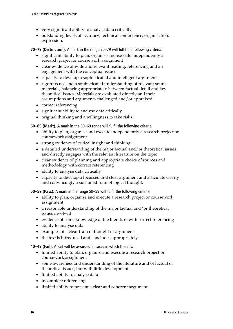- very significant ability to analyse data critically
- outstanding levels of accuracy, technical competence, organisation, expression.

**70–79 (Distinction).** A mark in the range 70–79 will fulfil the following criteria:

- significant ability to plan, organise and execute independently a research project or coursework assignment
- clear evidence of wide and relevant reading, referencing and an engagement with the conceptual issues
- capacity to develop a sophisticated and intelligent argument
- rigorous use and a sophisticated understanding of relevant source materials, balancing appropriately between factual detail and key theoretical issues. Materials are evaluated directly and their assumptions and arguments challenged and/or appraised
- correct referencing
- significant ability to analyse data critically
- original thinking and a willingness to take risks.

**60–69 (Merit).** A mark in the 60–69 range will fulfil the following criteria:

- ability to plan, organise and execute independently a research project or coursework assignment
- strong evidence of critical insight and thinking
- a detailed understanding of the major factual and/or theoretical issues and directly engages with the relevant literature on the topic
- clear evidence of planning and appropriate choice of sources and methodology with correct referencing
- ability to analyse data critically
- capacity to develop a focussed and clear argument and articulate clearly and convincingly a sustained train of logical thought.

**50–59 (Pass).** A mark in the range 50–59 will fulfil the following criteria:

- ability to plan, organise and execute a research project or coursework assignment
- a reasonable understanding of the major factual and/or theoretical issues involved
- evidence of some knowledge of the literature with correct referencing
- ability to analyse data
- examples of a clear train of thought or argument
- the text is introduced and concludes appropriately.

**40–49 (Fail).** A Fail will be awarded in cases in which there is:

- limited ability to plan, organise and execute a research project or coursework assignment
- some awareness and understanding of the literature and of factual or theoretical issues, but with little development
- limited ability to analyse data
- incomplete referencing
- limited ability to present a clear and coherent argument.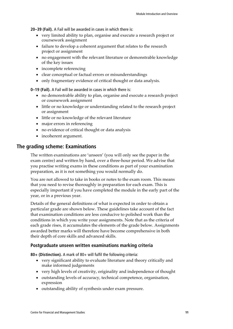**20–39 (Fail).** A Fail will be awarded in cases in which there is:

- very limited ability to plan, organise and execute a research project or coursework assignment
- failure to develop a coherent argument that relates to the research project or assignment
- no engagement with the relevant literature or demonstrable knowledge of the key issues
- incomplete referencing
- clear conceptual or factual errors or misunderstandings
- only fragmentary evidence of critical thought or data analysis.

**0–19 (Fail).** A Fail will be awarded in cases in which there is:

- no demonstrable ability to plan, organise and execute a research project or coursework assignment
- little or no knowledge or understanding related to the research project or assignment
- little or no knowledge of the relevant literature
- major errors in referencing
- no evidence of critical thought or data analysis
- incoherent argument.

### **The grading scheme: Examinations**

The written examinations are 'unseen' (you will only see the paper in the exam centre) and written by hand, over a three-hour period. We advise that you practise writing exams in these conditions as part of your examination preparation, as it is not something you would normally do.

You are not allowed to take in books or notes to the exam room. This means that you need to revise thoroughly in preparation for each exam. This is especially important if you have completed the module in the early part of the year, or in a previous year.

Details of the general definitions of what is expected in order to obtain a particular grade are shown below. These guidelines take account of the fact that examination conditions are less conducive to polished work than the conditions in which you write your assignments. Note that as the criteria of each grade rises, it accumulates the elements of the grade below. Assignments awarded better marks will therefore have become comprehensive in both their depth of core skills and advanced skills.

#### **Postgraduate unseen written examinations marking criteria**

**80+ (Distinction).** A mark of 80+ will fulfil the following criteria:

- very significant ability to evaluate literature and theory critically and make informed judgements
- very high levels of creativity, originality and independence of thought
- outstanding levels of accuracy, technical competence, organisation, expression
- outstanding ability of synthesis under exam pressure.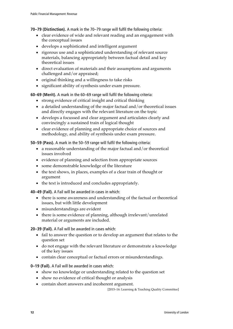**70–79 (Distinction).** A mark in the 70–79 range will fulfil the following criteria:

- clear evidence of wide and relevant reading and an engagement with the conceptual issues
- develops a sophisticated and intelligent argument
- rigorous use and a sophisticated understanding of relevant source materials, balancing appropriately between factual detail and key theoretical issues
- direct evaluation of materials and their assumptions and arguments challenged and/or appraised;
- original thinking and a willingness to take risks
- significant ability of synthesis under exam pressure.

**60–69 (Merit).** A mark in the 60–69 range will fulfil the following criteria:

- strong evidence of critical insight and critical thinking
- a detailed understanding of the major factual and/or theoretical issues and directly engages with the relevant literature on the topic
- develops a focussed and clear argument and articulates clearly and convincingly a sustained train of logical thought
- clear evidence of planning and appropriate choice of sources and methodology, and ability of synthesis under exam pressure.

**50–59 (Pass).** A mark in the 50–59 range will fulfil the following criteria:

- a reasonable understanding of the major factual and/or theoretical issues involved
- evidence of planning and selection from appropriate sources
- some demonstrable knowledge of the literature
- the text shows, in places, examples of a clear train of thought or argument
- the text is introduced and concludes appropriately.

**40–49 (Fail).** A Fail will be awarded in cases in which:

- there is some awareness and understanding of the factual or theoretical issues, but with little development
- misunderstandings are evident
- there is some evidence of planning, although irrelevant/unrelated material or arguments are included.

**20–39 (Fail).** A Fail will be awarded in cases which:

- fail to answer the question or to develop an argument that relates to the question set
- do not engage with the relevant literature or demonstrate a knowledge of the key issues
- contain clear conceptual or factual errors or misunderstandings.

**0–19 (Fail).** A Fail will be awarded in cases which:

- show no knowledge or understanding related to the question set
- show no evidence of critical thought or analysis
- contain short answers and incoherent argument.

[2015–16: Learning & Teaching Quality Committee]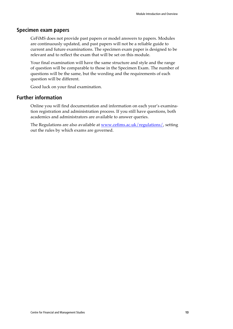### **Specimen exam papers**

CeFiMS does not provide past papers or model answers to papers. Modules are continuously updated, and past papers will not be a reliable guide to current and future examinations. The specimen exam paper is designed to be relevant and to reflect the exam that will be set on this module.

Your final examination will have the same structure and style and the range of question will be comparable to those in the Specimen Exam. The number of questions will be the same, but the wording and the requirements of each question will be different.

Good luck on your final examination.

### **Further information**

Online you will find documentation and information on each year's examination registration and administration process. If you still have questions, both academics and administrators are available to answer queries.

The Regulations are also available at www.cefims.ac.uk/regulations/, setting out the rules by which exams are governed.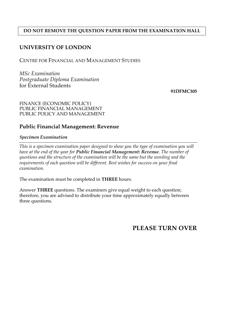### **DO NOT REMOVE THE QUESTION PAPER FROM THE EXAMINATION HALL**

### **UNIVERSITY OF LONDON**

CENTRE FOR FINANCIAL AND MANAGEMENT STUDIES

*MSc Examination Postgraduate Diploma Examination*  for External Students

**91DFMC305** 

### FINANCE (ECONOMIC POLICY) PUBLIC FINANCIAL MANAGEMENT PUBLIC POLICY AND MANAGEMENT

### **Public Financial Management: Revenue**

*Specimen Examination* 

*This is a specimen examination paper designed to show you the type of examination you will have at the end of the year for Public Financial Management: Revenue. The number of questions and the structure of the examination will be the same but the wording and the requirements of each question will be different. Best wishes for success on your final examination.* 

The examination must be completed in **THREE** hours.

Answer **THREE** questions. The examiners give equal weight to each question; therefore, you are advised to distribute your time approximately equally between three questions.

**PLEASE TURN OVER**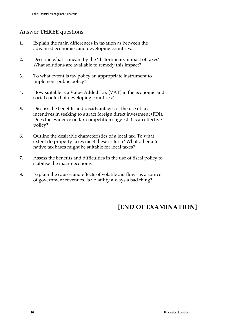## Answer **THREE** questions.

- **1.** Explain the main differences in taxation as between the advanced economies and developing countries.
- **2.** Describe what is meant by the 'distortionary impact of taxes'. What solutions are available to remedy this impact?
- **3.** To what extent is tax policy an appropriate instrument to implement public policy?
- **4.** How suitable is a Value Added Tax (VAT) in the economic and social context of developing countries?
- **5.** Discuss the benefits and disadvantages of the use of tax incentives in seeking to attract foreign direct investment (FDI). Does the evidence on tax competition suggest it is an effective policy?
- **6.** Outline the desirable characteristics of a local tax. To what extent do property taxes meet these criteria? What other alternative tax bases might be suitable for local taxes?
- **7.** Assess the benefits and difficulties in the use of fiscal policy to stabilise the macro-economy.
- **8.** Explain the causes and effects of volatile aid flows as a source of government revenues. Is volatility always a bad thing?

## **[END OF EXAMINATION]**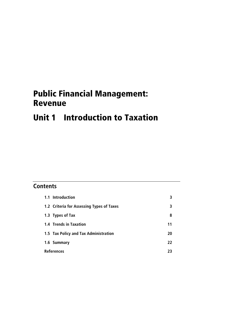## Public Financial Management: Revenue

## Unit 1 Introduction to Taxation

## **Contents**

| 1.1 Introduction                          |    |
|-------------------------------------------|----|
| 1.2 Criteria for Assessing Types of Taxes | 3  |
| 1.3 Types of Tax                          | 8  |
| 1.4 Trends in Taxation                    | 11 |
| 1.5 Tax Policy and Tax Administration     | 20 |
| 1.6 Summary                               | 22 |
| <b>References</b>                         |    |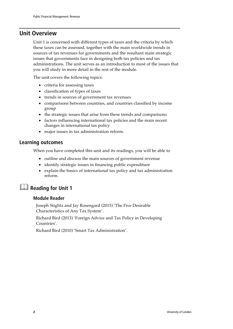## **Unit Overview**

Unit 1 is concerned with different types of taxes and the criteria by which these taxes can be assessed, together with the main worldwide trends in sources of tax revenues for governments and the resultant main strategic issues that governments face in designing both tax policies and tax administrations. The unit serves as an introduction to most of the issues that you will study in more detail in the rest of the module.

The unit covers the following topics:

- criteria for assessing taxes
- classification of types of taxes
- trends in sources of government tax revenues
- comparisons between countries, and countries classified by income group
- the strategic issues that arise from these trends and comparisons
- factors influencing international tax policies and the main recent changes in international tax policy
- major issues in tax administration reform.

### **Learning outcomes**

When you have completed this unit and its readings, you will be able to

- outline and discuss the main sources of government revenue
- identify strategic issues in financing public expenditure
- explain the basics of international tax policy and tax administration reform.

## **Reading for Unit 1**

### **Module Reader**

Joseph Stiglitz and Jay Rosengard (2015) 'The Five Desirable Characteristics of Any Tax System'.

Richard Bird (2013) 'Foreign Advice and Tax Policy in Developing Countries'.

Richard Bird (2010) 'Smart Tax Administration'.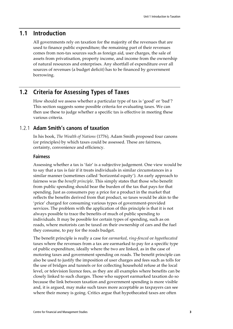## **1.1 Introduction**

All governments rely on taxation for the majority of the revenues that are used to finance public expenditure; the remaining part of their revenues comes from non-tax sources such as foreign aid, user charges, the sale of assets from privatisation, property income, and income from the ownership of natural resources and enterprises. Any shortfall of expenditure over all sources of revenues (a budget deficit) has to be financed by government borrowing.

### **1.2 Criteria for Assessing Types of Taxes**

How should we assess whether a particular type of tax is 'good' or 'bad'? This section suggests some possible criteria for evaluating taxes. We can then use these to judge whether a specific tax is effective in meeting these various criteria.

### 1.2.1 **Adam Smith's canons of taxation**

In his book, *The Wealth of Nations* (1776), Adam Smith proposed four canons (or principles) by which taxes could be assessed. These are fairness, certainty, convenience and efficiency.

#### **Fairness**

Assessing whether a tax is 'fair' is a subjective judgement. One view would be to say that a tax is fair if it treats individuals in similar circumstances in a similar manner (sometimes called 'horizontal equity'). An early approach to fairness was the *benefit principle*. This simply states that those who benefit from public spending should bear the burden of the tax that pays for that spending. Just as consumers pay a price for a product in the market that reflects the benefits derived from that product, so taxes would be akin to the 'price' charged for consuming various types of government-provided services. The problem with the application of this principle is that it is not always possible to trace the benefits of much of public spending to individuals. It may be possible for certain types of spending, such as on roads, where motorists can be taxed on their ownership of cars and the fuel they consume, to pay for the roads budget.

The benefit principle is really a case for *earmarked*, *ring-fenced* or *hypothecated* taxes where the revenues from a tax are earmarked to pay for a specific type of public expenditure, ideally where the two are linked, as in the case of motoring taxes and government spending on roads. The benefit principle can also be used to justify the imposition of user charges and fees such as tolls for the use of bridges and tunnels or for collecting household refuse at the local level, or television licence fees, as they are all examples where benefits can be closely linked to such charges. Those who support earmarked taxation do so because the link between taxation and government spending is more visible and, it is argued, may make such taxes more acceptable as taxpayers can see where their money is going. Critics argue that hypothecated taxes are often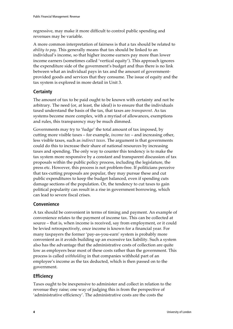regressive, may make it more difficult to control public spending and revenues may be variable.

A more common interpretation of fairness is that a tax should be related to *ability to pay*. This generally means that tax should be linked to an individual's income, so that higher income earners pay more than lower income earners (sometimes called 'vertical equity'). This approach ignores the expenditure side of the government's budget and thus there is no link between what an individual pays in tax and the amount of governmentprovided goods and services that they consume. The issue of equity and the tax system is explored in more detail in Unit 3.

### **Certainty**

The amount of tax to be paid ought to be known with certainty and not be arbitrary. The need (or, at least, the ideal) is to ensure that the individuals taxed understand the basis of the tax, that taxes are *transparent*. As tax systems become more complex, with a myriad of allowances, exemptions and rules, this transparency may be much dimmed.

Governments may try to 'fudge' the total amount of tax imposed, by cutting more visible taxes – for example, *income tax* – and increasing other, less visible taxes, such as *indirect taxes*. The argument is that governments could do this to increase their share of national resources by increasing taxes and spending. The only way to counter this tendency is to make the tax system more responsive by a constant and transparent discussion of tax proposals within the public policy process, including the legislature, the press etc. However, this process is not problem-free. If politicians perceive that tax-cutting proposals are popular, they may pursue these and cut public expenditures to keep the budget balanced, even if spending cuts damage sections of the population. Or, the tendency to cut taxes to gain political popularity can result in a rise in government borrowing, which can lead to severe fiscal crises.

### **Convenience**

A tax should be convenient in terms of timing and payment. An example of convenience relates to the payment of income tax. This can be collected at source – that is, when income is received, say from employment, or it could be levied retrospectively, once income is known for a financial year. For many taxpayers the former 'pay-as-you-earn' system is probably more convenient as it avoids building up an excessive tax liability. Such a system also has the advantage that the administrative costs of collection are quite low as employers bear most of these costs rather than the government. This process is called *withholding* in that companies withhold part of an employee's income as the tax deducted, which is then passed on to the government.

### **Efficiency**

Taxes ought to be inexpensive to administer and collect in relation to the revenue they raise; one way of judging this is from the perspective of 'administrative efficiency'. The administrative costs are the costs the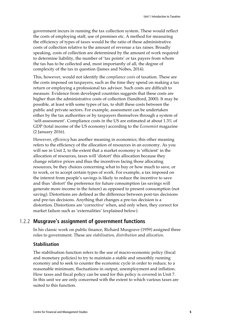government incurs in running the tax collection system. These would reflect the costs of employing staff, use of premises etc. A method for measuring the efficiency of types of taxes would be the ratio of these administrative costs of collection relative to the amount of revenue a tax raises. Broadly speaking, costs of collection are determined by the amount of work required to determine liability, the number of 'tax points' or tax payers from whom the tax has to be collected and, most importantly of all, the degree of complexity of the tax in question (James and Nobes, 2014).

This, however, would not identify the *compliance costs* of taxation. These are the costs imposed on taxpayers, such as the time they spend on making a tax return or employing a professional tax advisor. Such costs are difficult to measure. Evidence from developed countries suggests that these costs are higher than the administrative costs of collection (Sandford, 2000). It may be possible, at least with some types of tax, to shift these costs between the public and private sectors. For example, assessment can be undertaken either by the tax authorities or by taxpayers themselves through a system of 'self-assessment'. Compliance costs in the US are estimated at about 1.3% of GDP (total income of the US economy) according to the *Economist* magazine (2 January 2016).

However, *efficiency* has another meaning in economics; this other meaning refers to the efficiency of the allocation of resources in an economy. As you will see in Unit 2, to the extent that a market economy is 'efficient' in the allocation of resources, taxes will 'distort' this allocation because they change relative prices and thus the incentives facing those allocating resources, be they choices concerning what to buy or how much to save, or to work, or to accept certain types of work. For example, a tax imposed on the interest from people's savings is likely to reduce the incentive to save and thus 'distort' the preference for future consumption (as savings will generate more income in the future) as opposed to present consumption (not saving). Distortions are defined as the difference between post-tax decisions and pre-tax decisions. Anything that changes a pre-tax decision is a distortion. Distortions are 'corrective' when, and only when, they correct for market failure such as 'externalities' (explained below).

### 1.2.2 **Musgrave's assignment of government functions**

In his classic work on public finance, Richard Musgrave (1959) assigned three roles to government. These are *stabilisation*, *distribution* and *allocation*.

### **Stabilisation**

The stabilisation function refers to the use of macro-economic policy (fiscal and monetary policies) to try to maintain a stable and smoothly running economy and to seek to counter the economic cycle in order to reduce, to a reasonable minimum, fluctuations in output, unemployment and inflation. How taxes and fiscal policy can be used for this policy is covered in Unit 7. In this unit we are only concerned with the extent to which various taxes are suited to this function.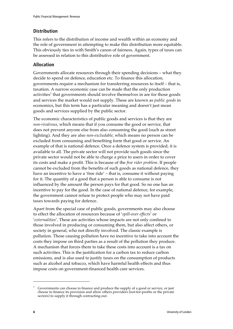### **Distribution**

This refers to the distribution of income and wealth within an economy and the role of government in attempting to make this distribution more equitable. This obviously ties in with Smith's canon of fairness. Again, types of taxes can be assessed in relation to this distributive role of government.

### **Allocation**

Governments allocate resources through their spending decisions – what they decide to spend on defence, education etc. To finance this allocation, governments require a mechanism for transferring resources to itself – that is, taxation. A narrow economic case can be made that the only production activities<sup>1</sup> that governments should involve themselves in are for those goods and services the market would not supply. These are known as *public goods* in economics, but this term has a particular meaning and doesn't just mean goods and services supplied by the public sector.

The economic characteristics of public goods and services is that they are *non-rivalrous*, which means that if you consume the good or service, that does not prevent anyone else from also consuming the good (such as street lighting). And they are also *non-excludable*, which means no person can be excluded from consuming and benefiting form that good or service. An example of that is national defence. Once a defence system is provided, it is available to all. The private sector will not provide such goods since the private sector would not be able to charge a price to users in order to cover its costs and make a profit. This is because of the *free rider problem*. If people cannot be excluded from the benefits of such goods as national defence, they have an incentive to have a 'free ride' – that is, consume it without paying for it. The quantity of a good that a person is able to consume is not influenced by the amount the person pays for that good. So no one has an incentive to pay for the good. In the case of national defence, for example, the government cannot refuse to protect people who may not have paid taxes towards paying for defence.

Apart from the special case of public goods, governments may also choose to effect the allocation of resources because of '*spill-over effects*' or '*externalities*'. These are activities whose impacts are not only confined to those involved in producing or consuming them, but also affect others, or society in general, who not directly involved. The classic example is pollution. Those causing pollution have no incentive to take into account the costs they impose on third parties as a result of the pollution they produce. A mechanism that forces them to take these costs into account is a tax on such activities. This is the justification for a carbon tax to reduce carbon emissions, and is also used to justify taxes on the consumption of products such as alcohol and tobacco, which have harmful health effects and thus impose costs on government-financed health care services.

 $\overline{a}$ 

 $1$  Governments can choose to finance and produce the supply of a good or service, or just choose to finance its provision and allow others providers (not-for-profits or the private sectors) to supply it through contracting-out.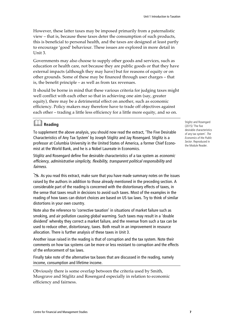However, these latter taxes may be imposed primarily from a paternalistic view – that is, because these taxes deter the consumption of such products, this is beneficial to personal health, and the taxes are designed at least partly to encourage 'good' behaviour. These issues are explored in more detail in Unit 3.

Governments may also choose to supply other goods and services, such as education or health care, not because they are public goods or that they have external impacts (although they may have) but for reasons of equity or on other grounds. Some of these may be financed through user charges – that is, the benefit principle – as well as from tax revenues.

It should be borne in mind that these various criteria for judging taxes might well conflict with each other so that in achieving one aim (say, greater equity), there may be a detrimental effect on another, such as economic efficiency. Policy makers may therefore have to trade off objectives against each other – trading a little less efficiency for a little more equity, and so on.

## **Reading**

To supplement the above analysis, you should now read the extract, 'The Five Desirable Characteristics of Any Tax System' by Joseph Stiglitz and Jay Rosengard. Stiglitz is a professor at Columbia University in the United States of America, a former Chief Economist at the World Bank, and he is a Nobel Laureate in Economics.

Stiglitz and Rosengard define five desirable characteristics of a tax system as economic efficiency, administrative simplicity, flexibility, transparent political responsibility and fairness.

 $\geq$  As you read this extract, make sure that you have made summary notes on the issues raised by the authors in addition to those already mentioned in the preceding section. A considerable part of the reading is concerned with the distortionary effects of taxes, in the sense that taxes result in decisions to avoid such taxes. Most of the examples in the reading of how taxes can distort choices are based on US tax laws. Try to think of similar distortions in your own country.

Note also the reference to 'corrective taxation' in situations of market failure such as smoking, and air pollution causing global warming. Such taxes may result in a 'double dividend' whereby they correct a market failure, and the revenue from such a tax can be used to reduce other, distortionary, taxes. Both result in an improvement in resource allocation. There is further analysis of these taxes in Unit 3.

Another issue raised in the reading is that of corruption and the tax system. Note their comments on how tax systems can be more or less resistant to corruption and the effects of the enforcement of tax laws.

Finally take note of the alternative tax bases that are discussed in the reading, namely income, consumption and lifetime income.

Obviously there is some overlap between the criteria used by Smith, Musgrave and Stiglitz and Rosengard especially in relation to economic efficiency and fairness.

Stiglitz and Rosengard (2015) 'The five desirable characteristics of any tax system'. The Economics of the Public Sector. Reproduced in the Module Reader.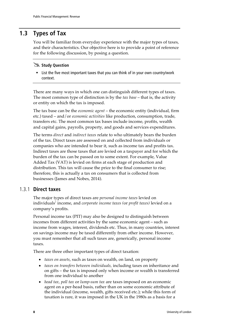## **1.3 Types of Tax**

You will be familiar from everyday experience with the major types of taxes, and their characteristics. Our objective here is to provide a point of reference for the following discussion, by posing a question.

## - **Study Question**

■ List the five most important taxes that you can think of in your own country/work context.

There are many ways in which one can distinguish different types of taxes. The most common type of distinction is by the *tax base* – that is, the activity or entity on which the tax is imposed.

The tax base can be the *economic agent* – the economic entity (individual, firm etc.) taxed – and/or *economic activities* like production, consumption, trade, transfers etc. The most common tax bases include income, profits, wealth and capital gains, payrolls, property, and goods and services expenditures.

The terms *direct* and *indirect taxes* relate to who ultimately bears the burden of the tax. Direct taxes are assessed on and collected from individuals or companies who are intended to bear it, such as income tax and profits tax. Indirect taxes are those taxes that are levied on a taxpayer and for which the burden of the tax can be passed on to some extent. For example, Value Added Tax (VAT) is levied on firms at each stage of production and distribution. This tax will cause the price to the final consumer to rise; therefore, this is actually a tax on consumers that is collected from businesses (James and Nobes, 2014).

### 1.3.1 **Direct taxes**

The major types of direct taxes are *personal income taxes* levied on individuals' income, and *corporate income taxes (*or *profit taxes)* levied on a company's profits.

Personal income tax (PIT) may also be designed to distinguish between incomes from different activities by the same economic agent – such as income from wages, interest, dividends etc. Thus, in many countries, interest on savings income may be taxed differently from other income. However, you must remember that all such taxes are, generically, personal income taxes.

There are three other important types of direct taxation:

- *taxes on assets*, such as taxes on wealth, on land, on property
- *taxes on transfers between individuals,* including taxes on inheritance and on gifts – the tax is imposed only when income or wealth is transferred from one individual to another
- *head tax, poll tax* or *lump-sum tax* are taxes imposed on an economic agent on a per-head basis, rather than on some economic attribute of the individual (income, wealth, gifts received etc.); while this form of taxation is rare, it was imposed in the UK in the 1980s as a basis for a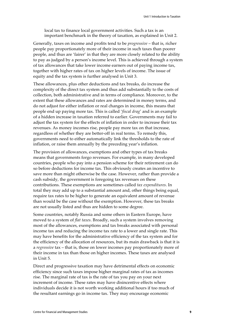local tax to finance local government activities. Such a tax is an important benchmark in the theory of taxation, as explained in Unit 2.

Generally, taxes on income and profits tend to be *progressive* – that is, richer people pay proportionately more of their income in such taxes than poorer people, and thus are 'fairer' in that they are more closely related to the ability to pay as judged by a person's income level. This is achieved through a system of tax allowances that take lower income earners out of paying income tax, together with higher rates of tax on higher levels of income. The issue of equity and the tax system is further analysed in Unit 3.

These allowances, plus other deductions and tax breaks, do increase the complexity of the direct tax system and thus add substantially to the costs of collection, both administrative and in terms of compliance. Moreover, to the extent that these allowances and rates are determined in money terms, and do not adjust for either inflation or real changes in income, this means that people end up paying more tax. This is called '*fiscal drag*' and is an example of a hidden increase in taxation referred to earlier. Governments may fail to adjust the tax system for the effects of inflation in order to increase their tax revenues. As money incomes rise, people pay more tax on that increase, regardless of whether they are better-off in real terms. To remedy this, governments need to either automatically link the thresholds to the rate of inflation, or raise them annually by the preceding year's inflation.

The provision of allowances, exemptions and other types of tax breaks means that governments forgo revenues. For example, in many developed countries, people who pay into a pension scheme for their retirement can do so before deductions for income tax. This obviously creates an incentive to save more than might otherwise be the case. However, rather than provide a cash subsidy, the government is foregoing tax revenues on these contributions. These exemptions are sometimes called *tax expenditures*. In total they may add up to a substantial amount and, other things being equal, require tax rates to be higher to generate an equivalent amount of revenue than would be the case without the exemption. However, these tax breaks are not usually listed and thus are hidden to some degree.

Some countries, notably Russia and some others in Eastern Europe, have moved to a system of *flat taxes*. Broadly, such a system involves removing most of the allowances, exemptions and tax breaks associated with personal income tax and reducing the income tax rate to a lower and single rate. This may have benefits for the administrative efficiency of the tax system and for the efficiency of the allocation of resources, but its main drawback is that it is a *regressive* tax – that is, those on lower incomes pay proportionately more of their income in tax than those on higher incomes. These taxes are analysed in Unit 5.

Direct and progressive taxation may have detrimental effects on economic efficiency since such taxes impose higher marginal rates of tax as incomes rise. The marginal rate of tax is the rate of tax you pay on your next increment of income. These rates may have disincentive effects where individuals decide it is not worth working additional hours if too much of the resultant earnings go in income tax. They may encourage economic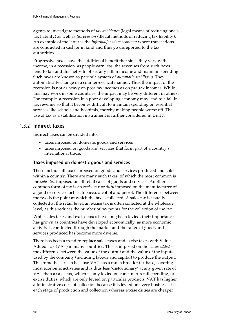agents to investigate methods of *tax avoidance* (legal means of reducing one's tax liability) as well as *tax evasion* (illegal methods of reducing tax liability). An example of the latter is the *informal/shadow economy* where transactions are conducted in cash or in kind and thus go unreported to the tax authorities.

Progressive taxes have the additional benefit that since they vary with income, in a recession, as people earn less, the revenues from such taxes tend to fall and this helps to offset any fall in income and maintain spending. Such taxes are known as part of a system of *automatic stabilisers*. They automatically change in a counter-cyclical manner. Thus the impact of the recession is not as heavy on post-tax incomes as on pre-tax incomes. While this may work in some countries, the impact may be very different in others. For example, a recession in a poor developing economy may lead to a fall in tax revenue so that it becomes difficult to maintain spending on essential services like schools and hospitals, thereby making people worse off. The use of tax as a stabilisation instrument is further considered in Unit 7.

### 1.3.2 **Indirect taxes**

Indirect taxes can be divided into:

- taxes imposed on domestic goods and services
- taxes imposed on goods and services that form part of a country's international trade.

### **Taxes imposed on domestic goods and services**

These include all taxes imposed on goods and services produced and sold within a country. There are many such taxes, of which the most common is the *sales tax* imposed on all retail sales of goods and services. Another common form of tax is an *excise tax* or *duty* imposed on the manufacturer of a good or service such as tobacco, alcohol and petrol. The difference between the two is the point at which the tax is collected. A sales tax is usually collected at the retail level; an excise tax is often collected at the wholesale level, as this reduces the number of tax points for the collection of the tax.

While sales taxes and excise taxes have long been levied, their importance has grown as countries have developed economically, as more economic activity is conducted through the market and the range of goods and services produced has become more diverse.

There has been a trend to replace sales taxes and excise taxes with Value Added Tax (VAT) in many countries. This is imposed on the *value added* – the difference between the value of the output and the value of the inputs used by the company (including labour and capital) to produce the output. This trend has arisen because VAT has a much broader tax base, covering most economic activities and is thus less 'distortionary' at any given rate of VAT than a sales tax, which is only levied on consumer retail spending, or excise duties, which are only levied on particular products. VAT has higher administrative costs of collection because it is levied on every business at each stage of production and collection whereas excise duties are cheaper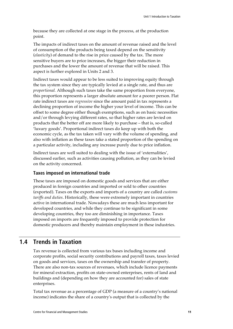because they are collected at one stage in the process, at the production point.

The impacts of indirect taxes on the amount of revenue raised and the level of consumption of the products being taxed depend on the sensitivity (*elasticity*) of demand to the rise in price caused by the tax. The more sensitive buyers are to price increases, the bigger their reduction in purchases and the lower the amount of revenue that will be raised. This aspect is further explored in Units 2 and 3.

Indirect taxes would appear to be less suited to improving equity through the tax system since they are typically levied at a single rate, and thus are *proportional.* Although such taxes take the same proportion from everyone, this proportion represents a larger absolute amount for a poorer person. Flat rate indirect taxes are *regressive* since the amount paid in tax represents a declining proportion of income the higher your level of income. This can be offset to some degree either though exemptions, such as on basic necessities and/or through levying different rates, so that higher rates are levied on products that the better off are more likely to purchase – that is, so-called 'luxury goods'. Proportional indirect taxes do keep up with both the economic cycle, as the tax taken will vary with the volume of spending, and also with inflation as these taxes take a stated proportion of the spending on a particular activity, including any increase purely due to price inflation.

Indirect taxes are well suited to dealing with the issue of 'externalities', discussed earlier, such as activities causing pollution, as they can be levied on the activity concerned.

### **Taxes imposed on international trade**

These taxes are imposed on domestic goods and services that are either produced in foreign countries and imported or sold to other countries (exported). Taxes on the exports and imports of a country are called *customs tariffs and duties*. Historically, these were extremely important in countries active in international trade. Nowadays these are much less important for developed countries, and while they continue to be significant in some developing countries, they too are diminishing in importance. Taxes imposed on imports are frequently imposed to provide protection for domestic producers and thereby maintain employment in these industries.

## **1.4 Trends in Taxation**

Tax revenue is collected from various tax bases including income and corporate profits, social security contributions and payroll taxes, taxes levied on goods and services, taxes on the ownership and transfer of property. There are also non-tax sources of revenues, which include licence payments for mineral extraction, profits on state-owned enterprises, rents of land and buildings and (depending on how they are accounted for) sales of state enterprises.

Total tax revenue as a percentage of GDP (a measure of a country's national income) indicates the share of a country's output that is collected by the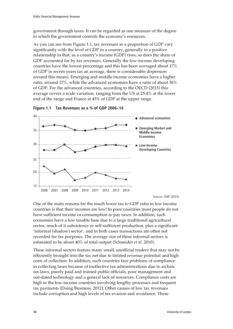government through taxes. It can be regarded as one measure of the degree to which the government controls the economy's resources.

As you can see from Figure 1.1, tax revenues as a proportion of GDP vary significantly with the level of GDP in a country, generally in a positive relationship in that, as a country's income (GDP) rises, so does the share of GDP accounted for by tax revenues. Generally the low-income developing countries have the lowest percentage and this has been averaged about 17% of GDP in recent years (as an average, there is considerable dispersion around this mean). Emerging and middle income economies have a higher ratio, around 27%, while the advanced economies have a ratio of about 36% of GDP. For the advanced countries, according to the OECD (2015) this average covers a wide variation, ranging from the US at 25.4% at the lower end of the range and France at 45% of GDP at the upper range.





Source: IMF (2015)

One of the main reasons for the much lower tax to GDP ratio in low income countries is that their incomes are low! In poor countries most people do not have sufficient income or consumption to pay taxes. In addition, such economies have a low taxable base due to a large traditional agricultural sector, much of it subsistence or self-sufficient production, plus a significant 'informal (shadow) sector', and in both cases transactions are often not recorded for tax purposes. The average size of these informal sectors is estimated to be about 40% of total output (Schneider *et al*. 2010).

These informal sectors feature many small, unofficial traders that may not be efficiently brought into the tax net due to limited revenue potential and high costs of collection. In addition, such countries face problems of compliance in collecting taxes because of ineffective tax administrations due to archaic tax laws, poorly paid and trained public officials, poor management and out-dated technology and a general lack of resources. Compliance costs are high in the low-income countries involving lengthy processes and frequent tax payments (Doing Business, 2012). Other causes of low tax revenues include corruption and high levels of tax evasion and avoidance. These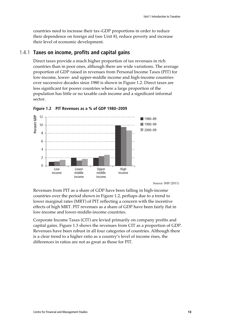countries need to increase their tax–GDP proportions in order to reduce their dependence on foreign aid (see Unit 8), reduce poverty and increase their level of economic development.

### 1.4.1 **Taxes on income, profits and capital gains**

Direct taxes provide a much higher proportion of tax revenues in rich countries than in poor ones, although there are wide variations. The average proportion of GDP raised in revenues from Personal Income Taxes (PIT) for low-income, lower- and upper-middle income and high-income countries over successive decades since 1980 is shown in Figure 1.2. Direct taxes are less significant for poorer countries where a large proportion of the population has little or no taxable cash income and a significant informal sector.



**Figure 1.2 PIT Revenues as a % of GDP 1980–2009** 

Source: IMF (2011)

Revenues from PIT as a share of GDP have been falling in high-income countries over the period shown in Figure 1.2, perhaps due to a trend to lower marginal rates (MRT) of PIT reflecting a concern with the incentive effects of high MRT. PIT revenues as a share of GDP have been fairly flat in low-income and lower-middle-income countries.

Corporate Income Taxes (CIT) are levied primarily on company profits and capital gains. Figure 1.3 shows the revenues from CIT as a proportion of GDP. Revenues have been robust in all four categories of countries. Although there is a clear trend to a higher ratio as a country's level of income rises, the differences in ratios are not as great as those for PIT.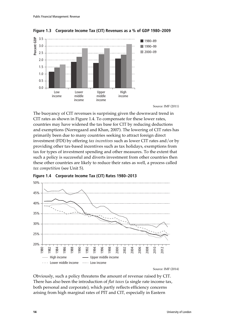

**Figure 1.3 Corporate Income Tax (CIT) Revenues as a % of GDP 1980–2009** 

Source: IMF (2011)

The buoyancy of CIT revenues is surprising given the downward trend in CIT rates as shown in Figure 1.4. To compensate for these lower rates, countries may have widened the tax base for CIT by reducing deductions and exemptions (Norregaard and Khan, 2007). The lowering of CIT rates has primarily been due to many countries seeking to attract foreign direct investment (FDI) by offering *tax incentives* such as lower CIT rates and/or by providing other tax-based incentives such as tax holidays, exemptions from tax for types of investment spending and other measures. To the extent that such a policy is successful and diverts investment from other countries then these other countries are likely to reduce their rates as well, a process called *tax competition* (see Unit 5).



**Figure 1.4 Corporate Income Tax (CIT) Rates 1980–2013** 

Source: IMF (2014)

Obviously, such a policy threatens the amount of revenue raised by CIT. There has also been the introduction of *flat taxes* (a single rate income tax, both personal and corporate), which partly reflects efficiency concerns arising from high marginal rates of PIT and CIT, especially in Eastern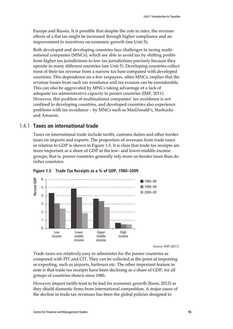Europe and Russia. It is possible that despite the cuts in rates, the revenue effects of a flat tax might be increased through higher compliance and an improvement in incentives on economic growth (see Unit 5).

Both developed and developing countries face challenges in taxing multinational companies (MNCs), which are able to avoid tax by shifting profits from higher tax jurisdictions to low tax jurisdictions precisely because they operate in many different countries (see Unit 5). Developing countries collect most of their tax revenue from a narrow tax base compared with developed countries. This dependence on a few taxpayers, often MNCs, implies that the revenue losses from such tax avoidance and tax evasion can be considerable. This can also be aggravated by MNCs taking advantage of a lack of adequate tax administrative capacity in poorer countries (IMF, 2011). However, this problem of multinational companies' tax avoidance is not confined to developing countries, and developed countries also experience problems with tax avoidance – by MNCs such as MacDonald's, Starbucks and Amazon.

### 1.4.1 **Taxes on international trade**

Taxes on international trade include tariffs, customs duties and other border taxes on imports and exports. The proportion of revenues from trade taxes in relation to GDP is shown in Figure 1.5. It is clear that trade tax receipts are more important as a share of GDP in the low- and lower-middle-income groups; that is, poorer countries generally rely more on border taxes than do richer countries.



**Figure 1.5 Trade Tax Receipts as a % of GDP, 1980–2009** 

Source: IMF (2011)

Trade taxes are relatively easy to administer for the poorer countries as compared with PIT and CIT. They can be collected at the point of importing or exporting, such as airports, harbours etc. The other important feature to note is that trade tax receipts have been declining as a share of GDP, for all groups of countries shown since 1980.

However import tariffs tend to be bad for economic growth (Keen, 2013) as they shield domestic firms from international competition. A major cause of the decline in trade tax revenues has been the global policies designed to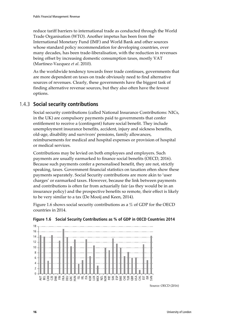reduce tariff barriers to international trade as conducted through the World Trade Organisation (WTO). Another impetus has been from the International Monetary Fund (IMF) and World Bank and other sources whose standard policy recommendation for developing countries, over many decades, has been trade-liberalisation, with the reduction in revenues being offset by increasing domestic consumption taxes, mostly VAT (Martinez-Vazquez *et al*. 2010).

As the worldwide tendency towards freer trade continues, governments that are more dependent on taxes on trade obviously need to find alternative sources of revenues. Clearly, these governments have the biggest task of finding alternative revenue sources, but they also often have the fewest options.

### 1.4.3 **Social security contributions**

Social security contributions (called National Insurance Contributions: NICs, in the UK) are compulsory payments paid to governments that confer entitlement to receive a (contingent) future social benefit. They include unemployment insurance benefits, accident, injury and sickness benefits, old-age, disability and survivors' pensions, family allowances, reimbursements for medical and hospital expenses or provision of hospital or medical services.

Contributions may be levied on both employees and employers. Such payments are usually earmarked to finance social benefits (OECD, 2016). Because such payments confer a personalised benefit, they are not, strictly speaking, taxes. Government financial statistics on taxation often show these payments separately. Social Security contributions are more akin to 'user charges' or earmarked taxes. However, because the link between payments and contributions is often far from actuarially fair (as they would be in an insurance policy) and the prospective benefits so remote, their effect is likely to be very similar to a tax (De Mooij and Keen, 2014).

Figure 1.6 shows social security contributions as a % of GDP for the OECD countries in 2014.



**Figure 1.6 Social Security Contributions as % of GDP in OECD Countries 2014** 

Source: OECD (2016)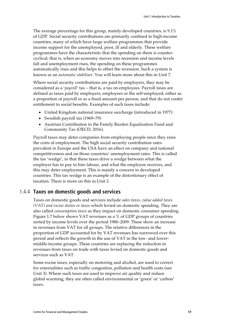The average percentage for this group, mainly developed countries, is 9.1% of GDP. Social security contributions are primarily confined to high-income countries, many of which have large welfare programmes that provide income support for the unemployed, poor, ill and elderly. These welfare programmes have the characteristic that the spending on them is countercyclical; that is, when an economy moves into recession and income levels fall and unemployment rises, the spending on these programmes automatically rises and this helps to offset the recession. Such a system is known as an *automatic stabiliser*. You will learn more about this in Unit 7.

Where social security contributions are paid by employers, they may be considered as a '*payroll*' tax – that is, a tax on employees. Payroll taxes are defined as taxes paid by employers, employees or the self-employed, either as a proportion of payroll or as a fixed amount per person, and that do not confer entitlement to social benefits. Examples of such taxes include:

- United Kingdom national insurance surcharge (introduced in 1977)
- Swedish payroll tax (1969–79)
- Austrian Contribution to the Family Burden Equalisation Fund and Community Tax (OECD, 2016).

Payroll taxes may deter companies from employing people since they raise the costs of employment. The high social security contribution rates prevalent in Europe and the USA have an effect on company and national competitiveness and on those countries' unemployment rates. This is called the tax 'wedge', in that these taxes drive a wedge between what the employer has to pay to hire labour, and what the employee receives, and this may deter employment. This is mainly a concern in developed countries. This tax wedge is an example of the distortionary effect of taxation. There is more on this in Unit 2.

### 1.4.4 **Taxes on domestic goods and services**

Taxes on domestic goods and services include *sales taxes*, *value added taxes (VAT) and excise duties or taxes* which levied on domestic spending. They are also called *consumption taxes* as they impact on domestic consumer spending. Figure 1.7 below shows VAT revenues as a % of GDP groups of countries sorted by income levels over the period 1980–2009. These show an increase in revenues from VAT for all groups. The relative differences in the proportion of GDP accounted for by VAT revenues has narrowed over this period and reflects the growth in the use of VAT in the low- and lowermiddle-income groups. These countries are replacing the reduction in revenues from taxes on trade with taxes levied on domestic goods and services such as VAT.

Some excise taxes, especially on motoring and alcohol, are used to correct for externalities such as traffic congestion, pollution and health costs (see Unit 3). Where such taxes are used to improve air quality and reduce global warming, they are often called environmental or 'green' or 'carbon' taxes.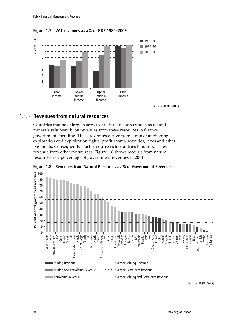



Source: IMF (2011)

### 1.4.5 **Revenues from natural resources**

Countries that have large reserves of natural resources such as oil and minerals rely heavily on revenues from these resources to finance government spending. These revenues derive from a mix of auctioning exploration and exploitation rights, profit shares, royalties, taxes and other payments. Consequently, such resource rich countries tend to raise less revenue from other tax sources. Figure 1.8 shows receipts from natural resources as a percentage of government revenues in 2011.



**Figure 1.8 Revenues from Natural Resources as % of Government Revenues** 

Source: IMF (2013)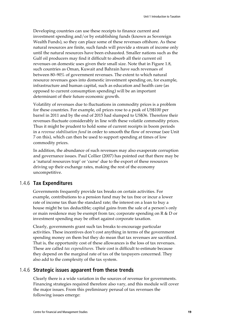Developing countries can use these receipts to finance current and investment spending and/or by establishing funds (known as Sovereign Wealth Funds), so they can place some of these revenues offshore. As these natural resources are finite, such funds will provide a stream of income only until the natural resources have been exhausted. Smaller nations such as the Gulf oil producers may find it difficult to absorb all their current oil revenues on domestic uses given their small size. Note that in Figure 1.8, such countries as Oman, Kuwait and Bahrain have such revenues of between 80–90% of government revenues. The extent to which natural resource revenues goes into domestic investment spending on, for example, infrastructure and human capital, such as education and health care (as opposed to current consumption spending) will be an important determinant of their future economic growth.

Volatility of revenues due to fluctuations in commodity prices is a problem for these countries. For example, oil prices rose to a peak of US\$100 per barrel in 2011 and by the end of 2015 had slumped to US\$36. Therefore their revenues fluctuate considerably in line with these volatile commodity prices. Thus it might be prudent to hold some of current receipts in boom periods in a *revenue stabilisation fund* in order to smooth the flow of revenue (see Unit 7 on this), which can then be used to support spending at times of low commodity prices.

In addition, the abundance of such revenues may also exasperate corruption and governance issues. Paul Collier (2007) has pointed out that there may be a 'natural resources trap' or 'curse' due to the export of these resources driving up their exchange rates, making the rest of the economy uncompetitive.

### 1.4.6 **Tax Expenditures**

Governments frequently provide tax breaks on certain activities. For example, contributions to a pension fund may be tax free or incur a lower rate of income tax than the standard rate; the interest on a loan to buy a house might be tax deductible; capital gains from the sale of a person's only or main residence may be exempt from tax; corporate spending on R & D or investment spending may be offset against corporate taxation.

Clearly, governments grant such tax breaks to encourage particular activities. These incentives don't cost anything in terms of the government spending money on them but they do mean that tax revenues are sacrificed. That is, the opportunity cost of these allowances is the loss of tax revenues. These are called *tax expenditures.* Their cost is difficult to estimate because they depend on the marginal rate of tax of the taxpayers concerned. They also add to the complexity of the tax system.

### 1.4.6 **Strategic issues apparent from these trends**

Clearly there is a wide variation in the sources of revenue for governments. Financing strategies required therefore also vary, and this module will cover the major issues. From this preliminary perusal of tax revenues the following issues emerge: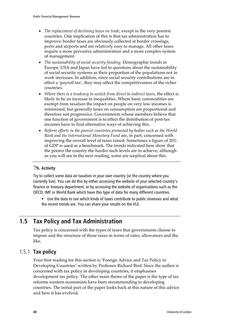- *The replacement of declining taxes on trade*, except in the very poorest countries. One implication of this is that tax administration has to improve: border taxes are obviously collected at border crossings, ports and airports and are relatively easy to manage. All other taxes require a more pervasive administration and a more complex system of management.
- *The sustainability of social security funding*. Demographic trends in Europe, USA and Japan have led to questions about the sustainability of social security systems as their proportion of the populations not in work increases. In addition, since social security contributions are in effect a 'payroll tax', they may affect the competitiveness of the richer countries.
- *Where there is a tendency to switch from direct to indirect taxes*, the effect is likely to be an increase in inequalities. Where basic commodities are exempt from taxation the impact on people on very low incomes is minimised, but generally taxes on consumption are proportional and therefore not progressive. Governments whose members believe that one function of government is to effect the distribution of post-tax incomes have to find alternative ways of achieving this.
- *Reform efforts in the poorest countries promoted by bodies such as the World Bank and the International Monetary Fund* are, in part, concerned with improving the overall level of taxes raised. Sometimes a figure of 20% of GDP is used as a benchmark. The trends indicated here show that the poorer the country the harder such levels are to achieve, although as you will see in the next reading, some are sceptical about this.

## - **Activity**

Try to collect some data on taxation in your own country (or the country where you currently live). You can do this by either accessing the website of your selected country's finance or treasury department, or by accessing the website of organisations such as the OECD, IMF or World Bank which have this type of data for many different countries.

 Use the data to see which kinds of taxes contribute to public revenues and what the recent trends are. You can share your results on the VLE.

## **1.5 Tax Policy and Tax Administration**

Tax policy is concerned with the types of taxes that governments choose to impose and the structure of those taxes in terms of rates, allowances and the like.

### 1.5.1 **Tax policy**

Your first reading for this section is 'Foreign Advice and Tax Policy in Developing Countries' written by Professor Richard Bird. Since the author is concerned with tax policy in developing countries, it emphasises development tax policy. The other main theme of the paper is the type of tax reforms western economists have been recommending to developing countries. The initial part of the paper looks back at this nature of this advice and how it has evolved.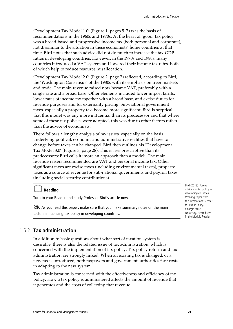'Development Tax Model 1.0' (Figure 1, pages 5–7) was the basis of recommendations in the 1960s and 1970s. At the heart of 'good' tax policy was a broad-based and progressive income tax (both personal and corporate), not dissimilar to the situation in these economists' home countries at that time. Bird notes that such advice did not do much to increase the tax-GDP ratios in developing countries. However, in the 1970s and 1980s, many countries introduced a VAT system and lowered their income tax rates, both of which help to reduce resource misallocation.

'Development Tax Model 2.0' (Figure 2, page 7) reflected, according to Bird, the 'Washington Consensus' of the 1980s with its emphasis on freer markets and trade. The main revenue raised now became VAT, preferably with a single rate and a broad base. Other elements included lower import tariffs, lower rates of income tax together with a broad base, and excise duties for revenue purposes and for externality pricing. Sub-national government taxes, especially a property tax, become more significant. Bird is sceptical that this model was any more influential than its predecessor and that where some of these tax policies were adopted, this was due to other factors rather than the advice of economists.

There follows a lengthy analysis of tax issues, especially on the basis underlying political, economic and administrative realities that have to change before taxes can be changed. Bird then outlines his 'Development Tax Model 3.0' (Figure 3, page 28). This is less prescriptive than its predecessors; Bird calls it 'more an approach than a model'. The main revenue raisers recommended are VAT and personal income tax. Other significant taxes are excise taxes (including environmental taxes), property taxes as a source of revenue for sub-national governments and payroll taxes (including social security contributions).

## **Reading**

Turn to your Reader and study Professor Bird's article now.

 $\geq$  As you read this paper, make sure that you make summary notes on the main factors influencing tax policy in developing countries.

Bird (2013) 'Foreign advice and tax policy in developing countries'. Working Paper from the International Center for Public Policy, Georgia State University. Reproduced in the Module Reader.

### 1.5.2 **Tax administration**

In addition to basic questions about what sort of taxation system is desirable, there is also the related issue of tax administration, which is concerned with the implementation of tax policy. Tax policy reform and tax administration are strongly linked. When an existing tax is changed, or a new tax is introduced, both taxpayers and government authorities face costs in adapting to the new system.

Tax administration is concerned with the effectiveness and efficiency of tax policy. How a tax policy is administered affects the amount of revenue that it generates and the costs of collecting that revenue.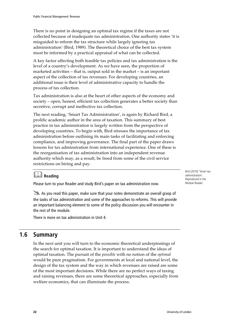There is no point in designing an optimal tax regime if the taxes are not collected because of inadequate tax administration. One authority states 'it is misguided to reform the tax structure while largely ignoring tax administration' (Bird, 1989). The theoretical choice of the best tax system must be informed by a practical appraisal of what can be collected.

A key factor affecting both feasible tax policies and tax administration is the level of a country's development. As we have seen, the proportion of marketed activities – that is, output sold in the market – is an important aspect of the collection of tax revenues. For developing countries, an additional issue is their level of administrative capacity to handle the process of tax collection.

Tax administration is also at the heart of other aspects of the economy and society – open, honest, efficient tax collection generates a better society than secretive, corrupt and ineffective tax collection.

The next reading, 'Smart Tax Administration', is again by Richard Bird, a prolific academic author in the area of taxation. This summary of best practice in tax administration is largely written from the perspective of developing countries. To begin with, Bird stresses the importance of tax administration before outlining its main tasks of facilitating and enforcing compliance, and improving governance. The final part of the paper draws lessons for tax adminstration from international experience. One of these is the reorganisation of tax administration into an independent revenue authority which may, as a result, be freed from some of the civil service restrictions on hiring and pay.

## **Reading**

Please turn to your Reader and study Bird's paper on tax administration now.

As you read this paper, make sure that your notes demonstrate an overall grasp of the tasks of tax administration and some of the approaches to reforms. This will provide an important balancing element to some of the policy discussion you will encounter in the rest of the module.

There is more on tax adminstration in Unit 4.

## **1.6 Summary**

In the next unit you will turn to the economic theoretical underpinnings of the search for optimal taxation. It is important to understand the ideas of optimal taxation. The pursuit of the *possible* with no notion of the *optimal* would be pure pragmatism. For governments at local and national level, the design of the tax system and the way in which revenues are raised are some of the most important decisions. While there are no perfect ways of taxing and raising revenues, there are some theoretical approaches, especially from welfare economics, that can illuminate the process.

Bird (2010) 'Smart tax administration'. Reproduced in the Module Reader.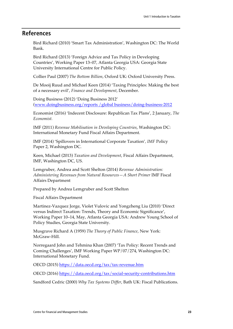## **References**

Bird Richard (2010) 'Smart Tax Administration', Washington DC: The World Bank.

Bird Richard (2013) 'Foreign Advice and Tax Policy in Developing Countries', Working Paper 13–07, Atlanta Georgia USA: Georgia State University International Centre for Public Policy.

Collier Paul (2007) *The Bottom Billion*, Oxford UK: Oxford University Press.

De Mooij Ruud and Michael Keen (2014) 'Taxing Principles: Making the best of a necessary evil', *Finance and Development*, December.

Doing Business (2012) 'Doing Business 2012' (www.doingbusiness.org/reports /global business/doing-business-2012

Economist (2016) 'Indecent Disclosure: Republican Tax Plans', 2 January, *The Economist.*

IMF (2011) *Revenue Mobilisation in Developing Countries*, Washington DC: International Monetary Fund Fiscal Affairs Department.

IMF (2014) 'Spillovers in International Corporate Taxation'*, IMF* Policy Paper 2, Washington DC.

Keen, Michael (2013) *Taxation and Development*, Fiscal Affairs Department, IMF, Washington DC, US.

Lemgruber, Andrea and Scott Shelton (2014) *Revenue Administration: Administering Revenues from Natural Resources—A Short Primer* IMF Fiscal Affairs Department

Prepared by Andrea Lemgruber and Scott Shelton

Fiscal Affairs Department

Martinez-Vazquez Jorge, Violet Vulovic and Yongzheng Liu (2010) 'Direct versus Indirect Taxation: Trends, Theory and Economic Significance', Working Paper 10–14, May, Atlanta Georgia USA: Andrew Young School of Policy Studies, Georgia State University.

Musgrave Richard A (1959) *The Theory of Public Finance*, New York: McGraw-Hill.

Norregaard John and Tehmina Khan (2007) 'Tax Policy: Recent Trends and Coming Challenges', IMF Working Paper WP/07/274, Washington DC: International Monetary Fund.

OECD (2015) https://data.oecd.org/tax/tax-revenue.htm

OECD (2016) https://data.oecd.org/tax/social-security-contributions.htm

Sandford Cedric (2000) *Why Tax Systems Differ*, Bath UK: Fiscal Publications.